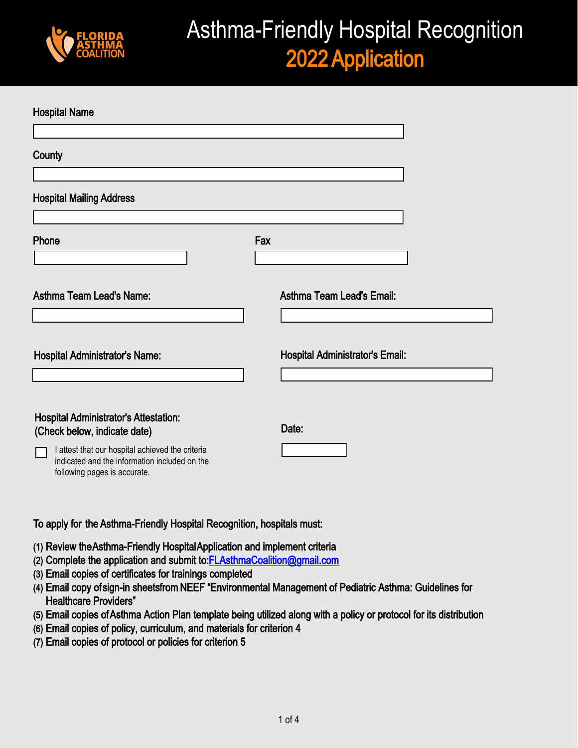

# Asthma-Friendly Hospital Recognition 2022 Application

| <b>Hospital Name</b>                                                          |     |                                        |
|-------------------------------------------------------------------------------|-----|----------------------------------------|
|                                                                               |     |                                        |
| County                                                                        |     |                                        |
|                                                                               |     |                                        |
| <b>Hospital Mailing Address</b>                                               |     |                                        |
|                                                                               |     |                                        |
| Phone                                                                         | Fax |                                        |
|                                                                               |     |                                        |
| <b>Asthma Team Lead's Name:</b>                                               |     | <b>Asthma Team Lead's Email:</b>       |
|                                                                               |     |                                        |
|                                                                               |     |                                        |
| <b>Hospital Administrator's Name:</b>                                         |     | <b>Hospital Administrator's Email:</b> |
|                                                                               |     |                                        |
|                                                                               |     |                                        |
| <b>Hospital Administrator's Attestation:</b><br>(Check below, indicate date)  |     | Date:                                  |
| I attest that our hospital achieved the criteria                              |     |                                        |
| indicated and the information included on the<br>following pages is accurate. |     |                                        |
|                                                                               |     |                                        |

#### To apply for the Asthma-Friendly Hospital Recognition, hospitals must:

- (1) Review the Asthma-Friendly Hospital Application and implement criteria
- (2) Complete the application and submit to[:FLAsthmaCoalition@gmail.com](mailto:flasthmacoalition@gmail.com)
- (3) Email copies of certificates for trainings completed
- (4) Email copy of sign-in sheets from NEEF "Environmental Management of Pediatric Asthma: Guidelines for Healthcare Providers"
- (5) Email copies of Asthma Action Plan template being utilized along with a policy or protocol for its distribution
- (6) Email copies of policy, curriculum, and materials for criterion 4
- (7) Email copies of protocol or policies for criterion 5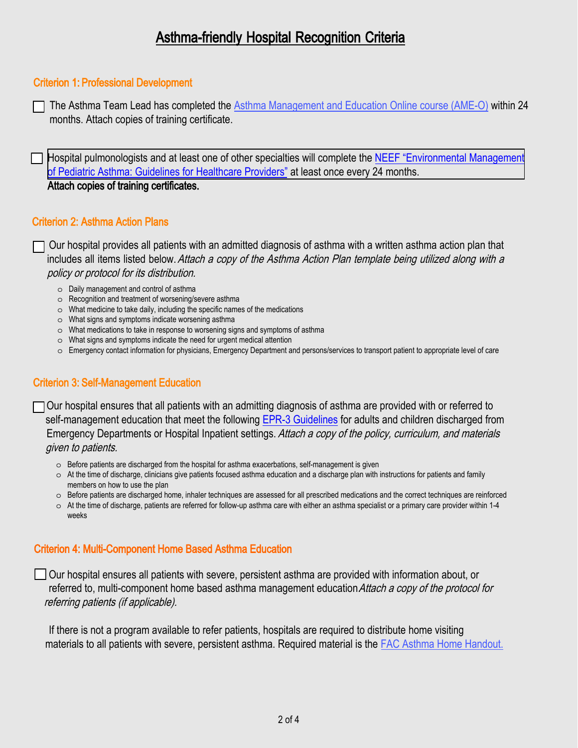# Asthma-friendly Hospital Recognition Criteria

#### Criterion 1: Professional Development

The Asthma Team Lead has completed the [Asthma Management and Education Online course \(AME-O\)](https://www.aafa.org/continuing-education-for-health-care-professionals/) within 24 months. Attach copies of training certificate.

Hospital pulmonologists and at least one of other specialties will complete the NEEF "Environmental Management" of Pediatric Asthma: Guidelines for Healthcare Providers" at least once every 24 months. Attach copies of training certificates.

#### Criterion 2: Asthma Action Plans

 $\Box$  Our hospital provides all patients with an admitted diagnosis of asthma with a written asthma action plan that includes all items listed below. Attach a copy of the Asthma Action Plan template being utilized along with a policy or protocol for its distribution.

- o Daily management and control of asthma
- o Recognition and treatment of worsening/severe asthma
- o What medicine to take daily, including the specific names of the medications
- o What signs and symptoms indicate worsening asthma
- o What medications to take in response to worsening signs and symptoms of asthma
- o What signs and symptoms indicate the need for urgent medical attention
- o Emergency contact information for physicians, Emergency Department and persons/services to transport patient to appropriate level of care

## Criterion 3: Self-Management Education

 $\Box$  Our hospital ensures that all patients with an admitting diagnosis of asthma are provided with or referred to self-management education that meet the following [EPR-3 Guidelines fo](https://www.nhlbi.nih.gov/sites/default/files/media/docs/EPR-3_Asthma_Full_Report_2007.pdf)r adults and children discharged from Emergency Departments or Hospital Inpatient settings. Attach a copy of the policy, curriculum, and materials given to patients.

- $\circ$  Before patients are discharged from the hospital for asthma exacerbations, self-management is given
- o At the time of discharge, clinicians give patients focused asthma education and a discharge plan with instructions for patients and family members on how to use the plan
- o Before patients are discharged home, inhaler techniques are assessed for all prescribed medications and the correct techniques are reinforced
- $\circ$  At the time of discharge, patients are referred for follow-up asthma care with either an asthma specialist or a primary care provider within 1-4 weeks

## Criterion 4: Multi-Component Home Based Asthma Education

Our hospital ensures all patients with severe, persistent asthma are provided with information about, or referred to, multi-component home based asthma management education Attach a copy of the protocol for referring patients (if applicable).

If there is not a program available to refer patients, hospitals are required to distribute home visiting materials to all patients with severe, persistent asthma. Required material is the [F](https://floridaasthmacoalition.com/flasthma/assets/File/Home%20Visiting%20Informational%20Packet%20(3).pdf)[AC Asthma Home Handout.](http://cadecms.com/flasthma/assets/Managing%20Asthma%20at%20Home_102919.pdf)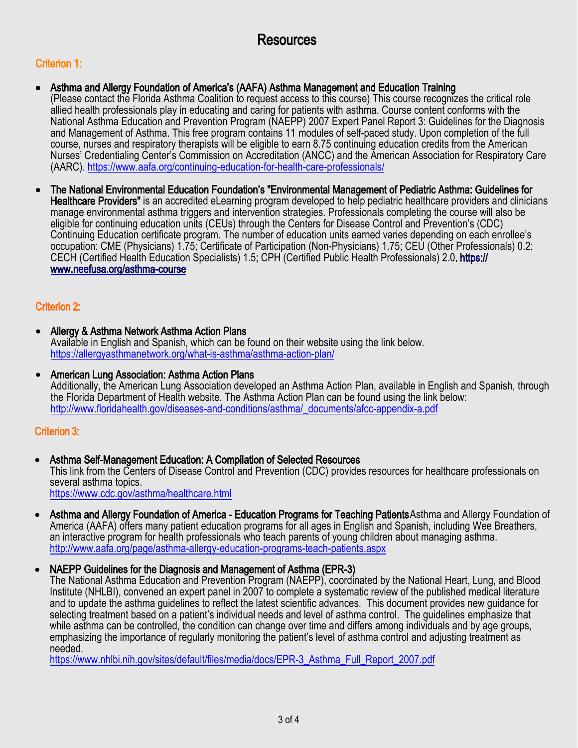## Resources

## Criterion 1:

- Asthma and Allergy Foundation of America's (AAFA) Asthma Management and Education Training (Please contact the Florida Asthma Coalition to request access to this course) This course recognizes the critical role allied health professionals play in educating and caring for patients with asthma. Course content conforms with the National Asthma Education and Prevention Program (NAEPP) 2007 Expert Panel Report 3: Guidelines for the Diagnosis and Management of Asthma. This free program contains 11 modules of self-paced study. Upon completion of the full course, nurses and respiratory therapists will be eligible to earn 8.75 continuing education credits from the American Nurses' Credentialing Center's Commission on Accreditation (ANCC) and the American Association for Respiratory Care (AARC). https://www.aafa.org/continuing-education-for-health-care-professionals/
- The National Environmental Education Foundation's "Environmental Management of Pediatric Asthma: Guidelines for Healthcare Providers" is an accredited eLearning program developed to help pediatric healthcare providers and clinicians manage environmental asthma triggers and intervention strategies. Professionals completing the course will also be eligible for continuing education units (CEUs) through the Centers for Disease Control and Prevention's (CDC) Continuing Education certificate program. The number of education units earned varies depending on each enrollee's occupation: CME (Physicians) 1.75; Certificate of Participation (Non-Physicians) 1.75; CEU (Other Professionals) 0.2; CECH (Certified Health Education Specialists) 1.5; CPH (Certified Public Health Professionals) 2.0. https:// www.neefusa.org/asthma-course

## Criterion 2:

- Allergy & Asthma Network Asthma Action Plans Available in English and Spanish, which can be found on their website using the link below. https://allergyasthmanetwork.org/what-is-asthma/asthma-action-plan/
- American Lung Association: Asthma Action Plans Additionally, the American Lung Association developed an Asthma Action Plan, available in English and Spanish, through the Florida Department of Health website. The Asthma Action Plan can be found using the link below: http://www.floridahealth.gov/diseases-and-conditions/asthma/\_documents/afcc-appendix-a.pdf

## Criterion 3:

• Asthma Self-Management Education: A Compilation of Selected Resources

This link from the Centers of Disease Control and Prevention (CDC) provides resources for healthcare professionals on several asthma topics.

<https://www.cdc.gov/asthma/healthcare.html>

• Asthma and Allergy Foundation of America - Education Programs for Teaching Patients Asthma and Allergy Foundation of America (AAFA) offers many patient education programs for all ages in English and Spanish, including Wee Breathers, an interactive program for health professionals who teach parents of young children about managing asthma. http://www.aafa.org/page/asthma-allergy-education-programs-teach-patients.aspx

## • NAEPP Guidelines for the Diagnosis and Management of Asthma (EPR-3)

The National Asthma Education and Prevention Program (NAEPP), coordinated by the National Heart, Lung, and Blood Institute (NHLBI), convened an expert panel in 2007 to complete a systematic review of the published medical literature and to update the asthma guidelines to reflect the latest scientific advances. This document provides new guidance for selecting treatment based on a patient's individual needs and level of asthma control. The guidelines emphasize that while asthma can be controlled, the condition can change over time and differs among individuals and by age groups, emphasizing the importance of regularly monitoring the patient's level of asthma control and adjusting treatment as needed.

https://www.nhlbi.nih.gov/sites/default/files/media/docs/EPR-3\_Asthma\_Full\_Report\_2007.pdf